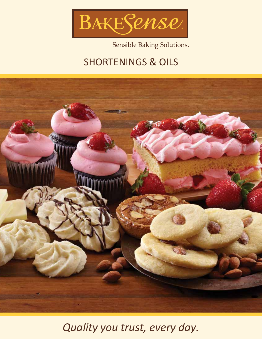

Sensible Baking Solutions.

## SHORTENINGS & OILS



*Quality you trust, every day.*